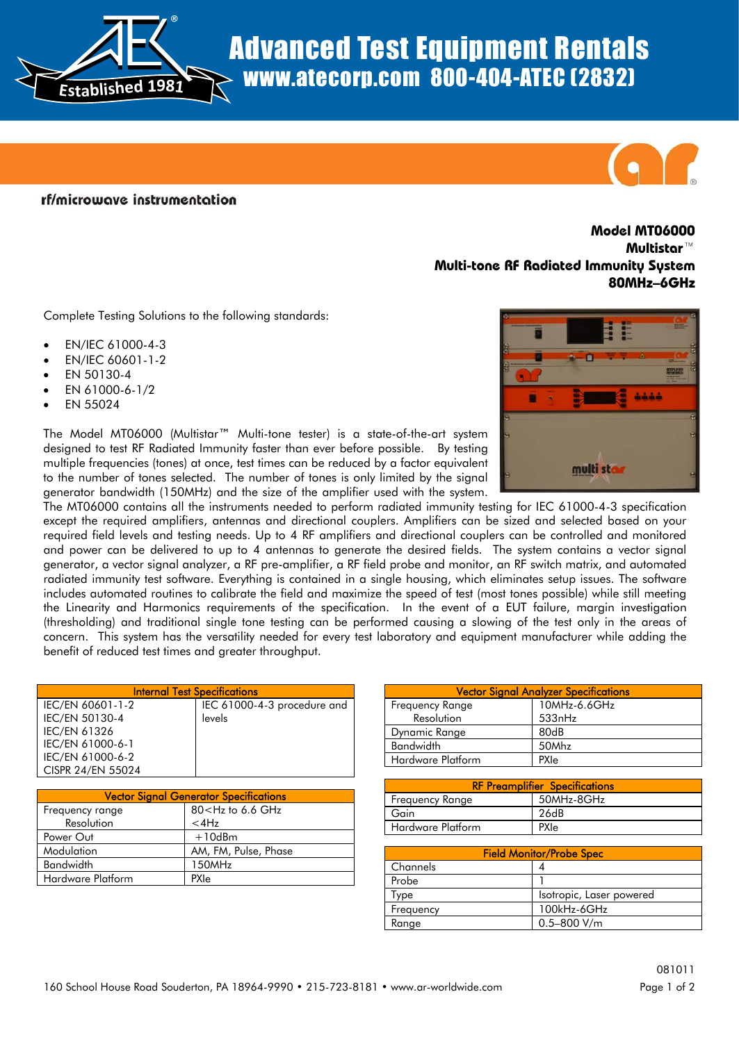Advanced Test Equipment Rentals www.atecorp.com 800-404-ATEC (2832)

rf/microwave instrumentation

## **Model MT06000 Multistar™ Multi-tone RF Radiated Immunity System 80MHz–6GHz**

Complete Testing Solutions to the following standards:

®

EN/IEC 61000-4-3

**Established <sup>1</sup>981**

- EN/IEC 60601-1-2
- EN 50130-4
- EN 61000-6-1/2
- EN 55024

The Model MT06000 (Multistar™ Multi-tone tester) is a state-of-the-art system designed to test RF Radiated Immunity faster than ever before possible. By testing multiple frequencies (tones) at once, test times can be reduced by a factor equivalent to the number of tones selected. The number of tones is only limited by the signal generator bandwidth (150MHz) and the size of the amplifier used with the system.

The MT06000 contains all the instruments needed to perform radiated immunity testing for IEC 61000-4-3 specification except the required amplifiers, antennas and directional couplers. Amplifiers can be sized and selected based on your required field levels and testing needs. Up to 4 RF amplifiers and directional couplers can be controlled and monitored and power can be delivered to up to 4 antennas to generate the desired fields. The system contains a vector signal generator, a vector signal analyzer, a RF pre-amplifier, a RF field probe and monitor, an RF switch matrix, and automated radiated immunity test software. Everything is contained in a single housing, which eliminates setup issues. The software includes automated routines to calibrate the field and maximize the speed of test (most tones possible) while still meeting the Linearity and Harmonics requirements of the specification. In the event of a EUT failure, margin investigation (thresholding) and traditional single tone testing can be performed causing a slowing of the test only in the areas of concern. This system has the versatility needed for every test laboratory and equipment manufacturer while adding the benefit of reduced test times and greater throughput.

| <b>Internal Test Specifications</b> |                             |
|-------------------------------------|-----------------------------|
| IEC/EN 60601-1-2                    | IEC 61000-4-3 procedure and |
| IEC/EN 50130-4                      | levels                      |
| <b>IEC/EN 61326</b>                 |                             |
| IEC/EN 61000-6-1                    |                             |
| IEC/EN 61000-6-2                    |                             |
| CISPR 24/EN 55024                   |                             |

| <b>Vector Signal Generator Specifications</b> |                                         |
|-----------------------------------------------|-----------------------------------------|
| Frequency range                               | 80 <hz 6.6="" ghz<="" td="" to=""></hz> |
| Resolution                                    | $<$ 4 $Hz$                              |
| Power Out                                     | $+10$ dBm                               |
| Modulation                                    | AM, FM, Pulse, Phase                    |
| <b>Bandwidth</b>                              | 150MHz                                  |
| Hardware Platform                             | <b>PXIe</b>                             |

| <b>Vector Signal Analyzer Specifications</b> |              |
|----------------------------------------------|--------------|
| Frequency Range                              | 10MHz-6.6GHz |
| Resolution                                   | 533nHz       |
| Dynamic Range                                | 80dB         |
| <b>Bandwidth</b>                             | 50Mhz        |
| Hardware Platform                            | PXIe         |

| <b>RF Preamplifier Specifications</b> |            |
|---------------------------------------|------------|
| Freguency Range                       | 50MHz-8GHz |
| Gain                                  | 26dB       |
| Hardware Platform                     | PXIe       |

| <b>Field Monitor/Probe Spec</b> |                          |
|---------------------------------|--------------------------|
| l Channels                      |                          |
| Probe                           |                          |
| vpe                             | Isotropic, Laser powered |
| Frequency                       | 100kHz-6GHz              |
| Range                           | $0.5 - 800$ V/m          |